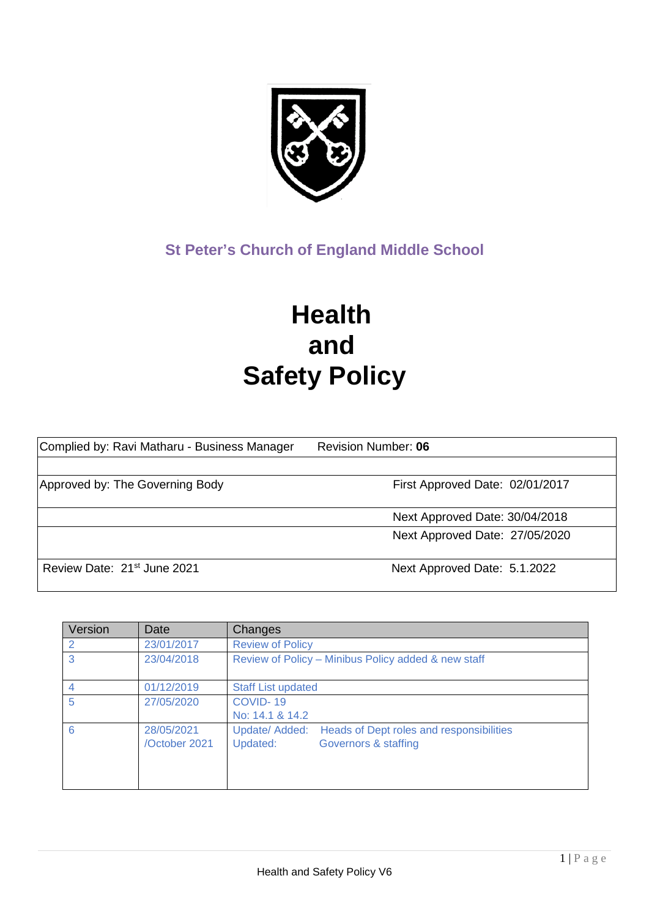

# **St Peter's Church of England Middle School**

# **Health and Safety Policy**

| Complied by: Ravi Matharu - Business Manager | <b>Revision Number: 06</b>      |
|----------------------------------------------|---------------------------------|
|                                              |                                 |
| Approved by: The Governing Body              | First Approved Date: 02/01/2017 |
|                                              | Next Approved Date: 30/04/2018  |
|                                              | Next Approved Date: 27/05/2020  |
| Review Date: 21 <sup>st</sup> June 2021      | Next Approved Date: 5.1.2022    |

| Version | Date                        | Changes                                                                                        |
|---------|-----------------------------|------------------------------------------------------------------------------------------------|
| 2       | 23/01/2017                  | <b>Review of Policy</b>                                                                        |
| 3       | 23/04/2018                  | Review of Policy - Minibus Policy added & new staff                                            |
|         | 01/12/2019                  | <b>Staff List updated</b>                                                                      |
| 5       | 27/05/2020                  | COVID-19<br>No: 14.1 & 14.2                                                                    |
| 6       | 28/05/2021<br>/October 2021 | Update/ Added:<br>Heads of Dept roles and responsibilities<br>Governors & staffing<br>Updated: |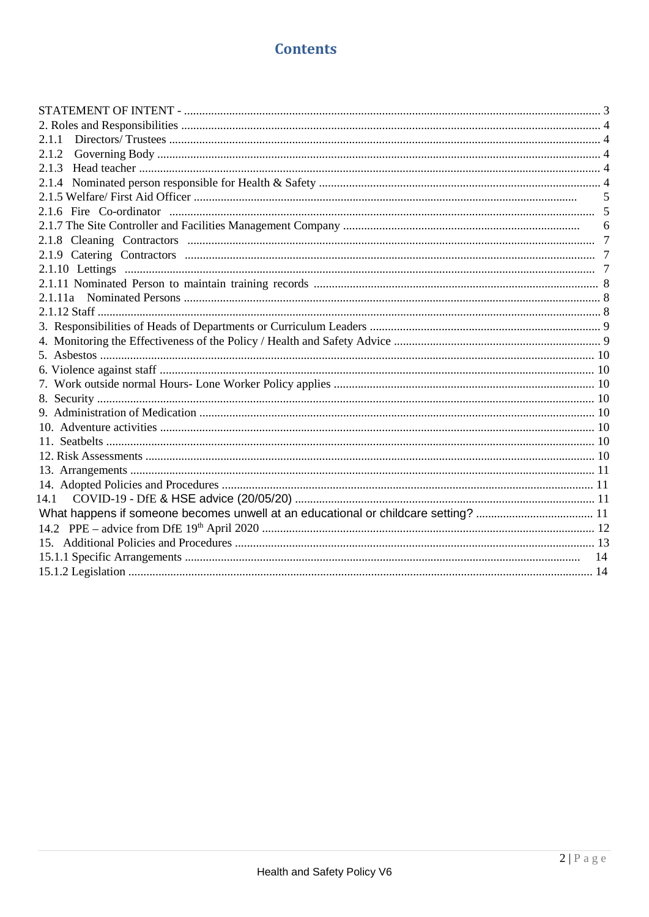#### **Contents**

| 2.1.1 |  |
|-------|--|
| 2.1.2 |  |
|       |  |
|       |  |
|       |  |
|       |  |
|       |  |
|       |  |
|       |  |
|       |  |
|       |  |
|       |  |
|       |  |
|       |  |
|       |  |
|       |  |
|       |  |
|       |  |
|       |  |
|       |  |
|       |  |
|       |  |
|       |  |
|       |  |
|       |  |
| 14.1  |  |
|       |  |
|       |  |
|       |  |
|       |  |
|       |  |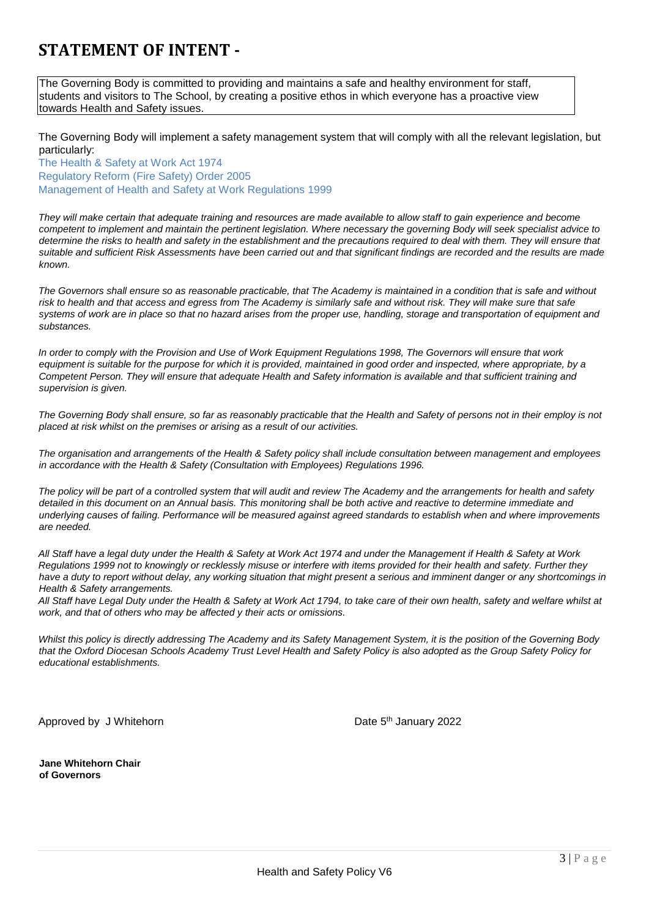# **STATEMENT OF INTENT -**

The Governing Body is committed to providing and maintains a safe and healthy environment for staff, students and visitors to The School, by creating a positive ethos in which everyone has a proactive view towards Health and Safety issues.

The Governing Body will implement a safety management system that will comply with all the relevant legislation, but particularly:

The Health & Safety at Work Act 1974 Regulatory Reform (Fire Safety) Order 2005 Management of Health and Safety at Work Regulations 1999

*They will make certain that adequate training and resources are made available to allow staff to gain experience and become competent to implement and maintain the pertinent legislation. Where necessary the governing Body will seek specialist advice to determine the risks to health and safety in the establishment and the precautions required to deal with them. They will ensure that suitable and sufficient Risk Assessments have been carried out and that significant findings are recorded and the results are made known.* 

*The Governors shall ensure so as reasonable practicable, that The Academy is maintained in a condition that is safe and without risk to health and that access and egress from The Academy is similarly safe and without risk. They will make sure that safe systems of work are in place so that no hazard arises from the proper use, handling, storage and transportation of equipment and substances.* 

*In order to comply with the Provision and Use of Work Equipment Regulations 1998, The Governors will ensure that work equipment is suitable for the purpose for which it is provided, maintained in good order and inspected, where appropriate, by a Competent Person. They will ensure that adequate Health and Safety information is available and that sufficient training and supervision is given.* 

*The Governing Body shall ensure, so far as reasonably practicable that the Health and Safety of persons not in their employ is not placed at risk whilst on the premises or arising as a result of our activities.* 

*The organisation and arrangements of the Health & Safety policy shall include consultation between management and employees in accordance with the Health & Safety (Consultation with Employees) Regulations 1996.* 

*The policy will be part of a controlled system that will audit and review The Academy and the arrangements for health and safety detailed in this document on an Annual basis. This monitoring shall be both active and reactive to determine immediate and underlying causes of failing. Performance will be measured against agreed standards to establish when and where improvements are needed.* 

*All Staff have a legal duty under the Health & Safety at Work Act 1974 and under the Management if Health & Safety at Work Regulations 1999 not to knowingly or recklessly misuse or interfere with items provided for their health and safety. Further they have a duty to report without delay, any working situation that might present a serious and imminent danger or any shortcomings in Health & Safety arrangements.* 

*All Staff have Legal Duty under the Health & Safety at Work Act 1794, to take care of their own health, safety and welfare whilst at work, and that of others who may be affected y their acts or omissions.* 

*Whilst this policy is directly addressing The Academy and its Safety Management System, it is the position of the Governing Body that the Oxford Diocesan Schools Academy Trust Level Health and Safety Policy is also adopted as the Group Safety Policy for educational establishments.* 

Approved by J Whitehorn **Date 5th January 2022** 

**Jane Whitehorn Chair of Governors**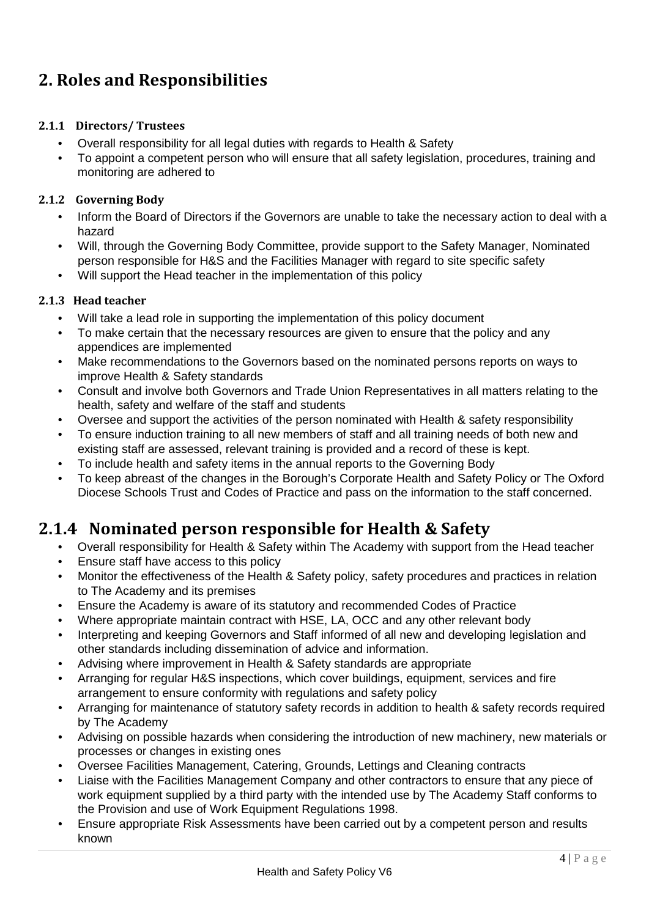# **2. Roles and Responsibilities**

#### **2.1.1 Directors/ Trustees**

- Overall responsibility for all legal duties with regards to Health & Safety
- To appoint a competent person who will ensure that all safety legislation, procedures, training and monitoring are adhered to

#### **2.1.2 Governing Body**

- Inform the Board of Directors if the Governors are unable to take the necessary action to deal with a hazard
- Will, through the Governing Body Committee, provide support to the Safety Manager, Nominated person responsible for H&S and the Facilities Manager with regard to site specific safety
- Will support the Head teacher in the implementation of this policy

#### **2.1.3 Head teacher**

- Will take a lead role in supporting the implementation of this policy document
- To make certain that the necessary resources are given to ensure that the policy and any appendices are implemented
- Make recommendations to the Governors based on the nominated persons reports on ways to improve Health & Safety standards
- Consult and involve both Governors and Trade Union Representatives in all matters relating to the health, safety and welfare of the staff and students
- Oversee and support the activities of the person nominated with Health & safety responsibility
- To ensure induction training to all new members of staff and all training needs of both new and existing staff are assessed, relevant training is provided and a record of these is kept.
- To include health and safety items in the annual reports to the Governing Body
- To keep abreast of the changes in the Borough's Corporate Health and Safety Policy or The Oxford Diocese Schools Trust and Codes of Practice and pass on the information to the staff concerned.

#### **2.1.4 Nominated person responsible for Health & Safety**

- Overall responsibility for Health & Safety within The Academy with support from the Head teacher
- Ensure staff have access to this policy
- Monitor the effectiveness of the Health & Safety policy, safety procedures and practices in relation to The Academy and its premises
- Ensure the Academy is aware of its statutory and recommended Codes of Practice
- Where appropriate maintain contract with HSE, LA, OCC and any other relevant body
- Interpreting and keeping Governors and Staff informed of all new and developing legislation and other standards including dissemination of advice and information.
- Advising where improvement in Health & Safety standards are appropriate
- Arranging for regular H&S inspections, which cover buildings, equipment, services and fire arrangement to ensure conformity with regulations and safety policy
- Arranging for maintenance of statutory safety records in addition to health & safety records required by The Academy
- Advising on possible hazards when considering the introduction of new machinery, new materials or processes or changes in existing ones
- Oversee Facilities Management, Catering, Grounds, Lettings and Cleaning contracts
- Liaise with the Facilities Management Company and other contractors to ensure that any piece of work equipment supplied by a third party with the intended use by The Academy Staff conforms to the Provision and use of Work Equipment Regulations 1998.
- Ensure appropriate Risk Assessments have been carried out by a competent person and results known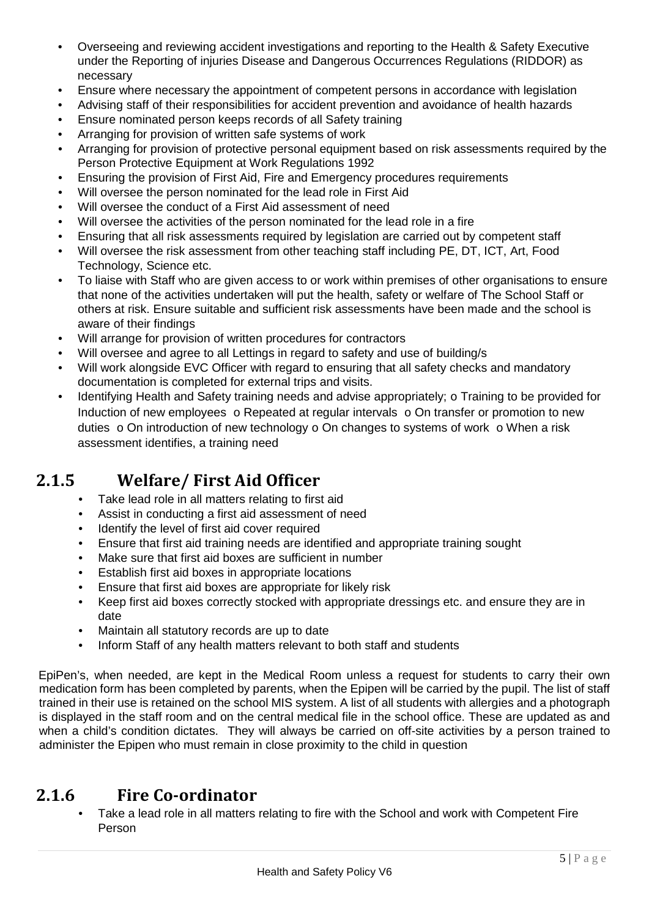- Overseeing and reviewing accident investigations and reporting to the Health & Safety Executive under the Reporting of injuries Disease and Dangerous Occurrences Regulations (RIDDOR) as necessary
- Ensure where necessary the appointment of competent persons in accordance with legislation
- Advising staff of their responsibilities for accident prevention and avoidance of health hazards
- Ensure nominated person keeps records of all Safety training
- Arranging for provision of written safe systems of work
- Arranging for provision of protective personal equipment based on risk assessments required by the Person Protective Equipment at Work Regulations 1992
- Ensuring the provision of First Aid, Fire and Emergency procedures requirements
- Will oversee the person nominated for the lead role in First Aid
- Will oversee the conduct of a First Aid assessment of need
- Will oversee the activities of the person nominated for the lead role in a fire
- Ensuring that all risk assessments required by legislation are carried out by competent staff
- Will oversee the risk assessment from other teaching staff including PE, DT, ICT, Art, Food Technology, Science etc.
- To liaise with Staff who are given access to or work within premises of other organisations to ensure that none of the activities undertaken will put the health, safety or welfare of The School Staff or others at risk. Ensure suitable and sufficient risk assessments have been made and the school is aware of their findings
- Will arrange for provision of written procedures for contractors
- Will oversee and agree to all Lettings in regard to safety and use of building/s
- Will work alongside EVC Officer with regard to ensuring that all safety checks and mandatory documentation is completed for external trips and visits.
- Identifying Health and Safety training needs and advise appropriately;  $\circ$  Training to be provided for Induction of new employees  $\circ$  Repeated at regular intervals  $\circ$  On transfer or promotion to new duties  $\circ$  On introduction of new technology  $\circ$  On changes to systems of work  $\circ$  When a risk assessment identifies, a training need

#### **2.1.5 Welfare/ First Aid Officer**

- Take lead role in all matters relating to first aid
- Assist in conducting a first aid assessment of need
- Identify the level of first aid cover required
- Ensure that first aid training needs are identified and appropriate training sought
- Make sure that first aid boxes are sufficient in number
- Establish first aid boxes in appropriate locations
- Ensure that first aid boxes are appropriate for likely risk
- Keep first aid boxes correctly stocked with appropriate dressings etc. and ensure they are in date
- Maintain all statutory records are up to date
- Inform Staff of any health matters relevant to both staff and students

EpiPen's, when needed, are kept in the Medical Room unless a request for students to carry their own medication form has been completed by parents, when the Epipen will be carried by the pupil. The list of staff trained in their use is retained on the school MIS system. A list of all students with allergies and a photograph is displayed in the staff room and on the central medical file in the school office. These are updated as and when a child's condition dictates. They will always be carried on off-site activities by a person trained to administer the Epipen who must remain in close proximity to the child in question

#### **2.1.6 Fire Co-ordinator**

• Take a lead role in all matters relating to fire with the School and work with Competent Fire Person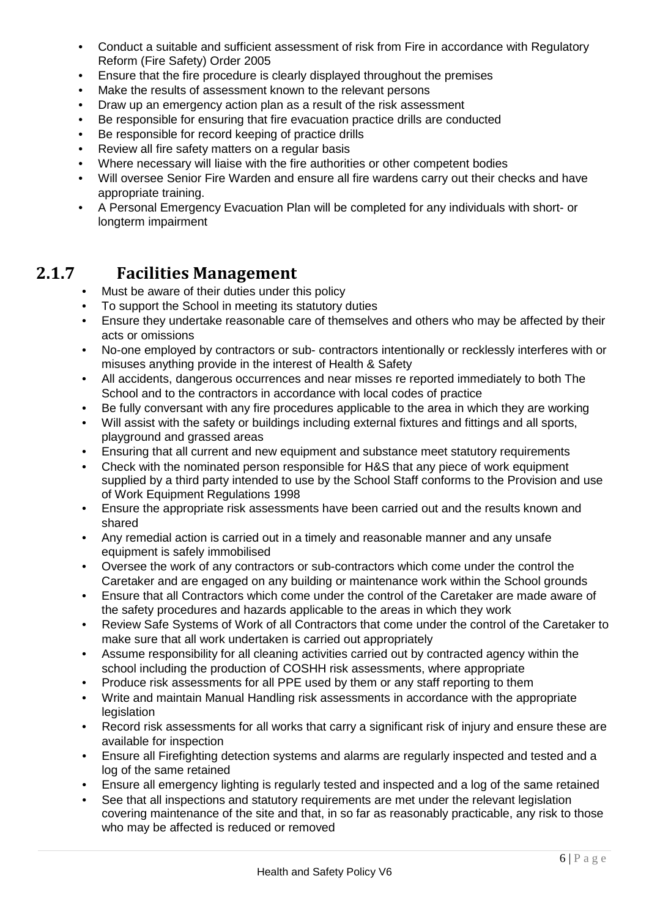- Conduct a suitable and sufficient assessment of risk from Fire in accordance with Regulatory Reform (Fire Safety) Order 2005
- Ensure that the fire procedure is clearly displayed throughout the premises
- Make the results of assessment known to the relevant persons
- Draw up an emergency action plan as a result of the risk assessment
- Be responsible for ensuring that fire evacuation practice drills are conducted
- Be responsible for record keeping of practice drills
- Review all fire safety matters on a regular basis
- Where necessary will liaise with the fire authorities or other competent bodies
- Will oversee Senior Fire Warden and ensure all fire wardens carry out their checks and have appropriate training.
- A Personal Emergency Evacuation Plan will be completed for any individuals with short- or longterm impairment

### **2.1.7 Facilities Management**

- Must be aware of their duties under this policy
- To support the School in meeting its statutory duties
- Ensure they undertake reasonable care of themselves and others who may be affected by their acts or omissions
- No-one employed by contractors or sub- contractors intentionally or recklessly interferes with or misuses anything provide in the interest of Health & Safety
- All accidents, dangerous occurrences and near misses re reported immediately to both The School and to the contractors in accordance with local codes of practice
- Be fully conversant with any fire procedures applicable to the area in which they are working
- Will assist with the safety or buildings including external fixtures and fittings and all sports, playground and grassed areas
- Ensuring that all current and new equipment and substance meet statutory requirements
- Check with the nominated person responsible for H&S that any piece of work equipment supplied by a third party intended to use by the School Staff conforms to the Provision and use of Work Equipment Regulations 1998
- Ensure the appropriate risk assessments have been carried out and the results known and shared
- Any remedial action is carried out in a timely and reasonable manner and any unsafe equipment is safely immobilised
- Oversee the work of any contractors or sub-contractors which come under the control the Caretaker and are engaged on any building or maintenance work within the School grounds
- Ensure that all Contractors which come under the control of the Caretaker are made aware of the safety procedures and hazards applicable to the areas in which they work
- Review Safe Systems of Work of all Contractors that come under the control of the Caretaker to make sure that all work undertaken is carried out appropriately
- Assume responsibility for all cleaning activities carried out by contracted agency within the school including the production of COSHH risk assessments, where appropriate
- Produce risk assessments for all PPE used by them or any staff reporting to them
- Write and maintain Manual Handling risk assessments in accordance with the appropriate legislation
- Record risk assessments for all works that carry a significant risk of injury and ensure these are available for inspection
- Ensure all Firefighting detection systems and alarms are regularly inspected and tested and a log of the same retained
- Ensure all emergency lighting is regularly tested and inspected and a log of the same retained
- See that all inspections and statutory requirements are met under the relevant legislation covering maintenance of the site and that, in so far as reasonably practicable, any risk to those who may be affected is reduced or removed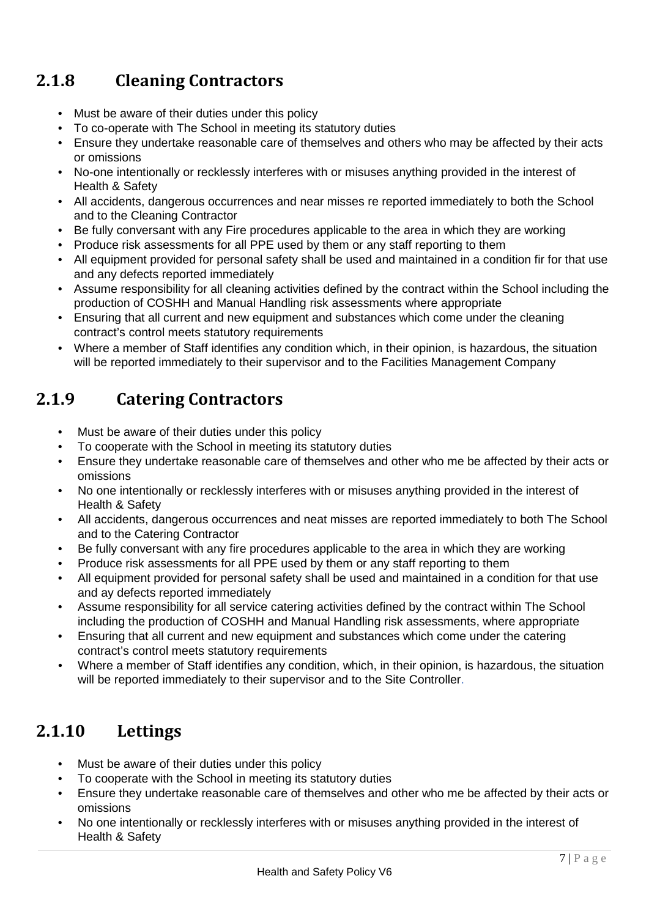# **2.1.8 Cleaning Contractors**

- Must be aware of their duties under this policy
- To co-operate with The School in meeting its statutory duties
- Ensure they undertake reasonable care of themselves and others who may be affected by their acts or omissions
- No-one intentionally or recklessly interferes with or misuses anything provided in the interest of Health & Safety
- All accidents, dangerous occurrences and near misses re reported immediately to both the School and to the Cleaning Contractor
- Be fully conversant with any Fire procedures applicable to the area in which they are working
- Produce risk assessments for all PPE used by them or any staff reporting to them
- All equipment provided for personal safety shall be used and maintained in a condition fir for that use and any defects reported immediately
- Assume responsibility for all cleaning activities defined by the contract within the School including the production of COSHH and Manual Handling risk assessments where appropriate
- Ensuring that all current and new equipment and substances which come under the cleaning contract's control meets statutory requirements
- Where a member of Staff identifies any condition which, in their opinion, is hazardous, the situation will be reported immediately to their supervisor and to the Facilities Management Company

# **2.1.9 Catering Contractors**

- Must be aware of their duties under this policy
- To cooperate with the School in meeting its statutory duties
- Ensure they undertake reasonable care of themselves and other who me be affected by their acts or omissions
- No one intentionally or recklessly interferes with or misuses anything provided in the interest of Health & Safety
- All accidents, dangerous occurrences and neat misses are reported immediately to both The School and to the Catering Contractor
- Be fully conversant with any fire procedures applicable to the area in which they are working
- Produce risk assessments for all PPE used by them or any staff reporting to them
- All equipment provided for personal safety shall be used and maintained in a condition for that use and ay defects reported immediately
- Assume responsibility for all service catering activities defined by the contract within The School including the production of COSHH and Manual Handling risk assessments, where appropriate
- Ensuring that all current and new equipment and substances which come under the catering contract's control meets statutory requirements
- Where a member of Staff identifies any condition, which, in their opinion, is hazardous, the situation will be reported immediately to their supervisor and to the Site Controller.

# **2.1.10 Lettings**

- Must be aware of their duties under this policy
- To cooperate with the School in meeting its statutory duties
- Ensure they undertake reasonable care of themselves and other who me be affected by their acts or omissions
- No one intentionally or recklessly interferes with or misuses anything provided in the interest of Health & Safety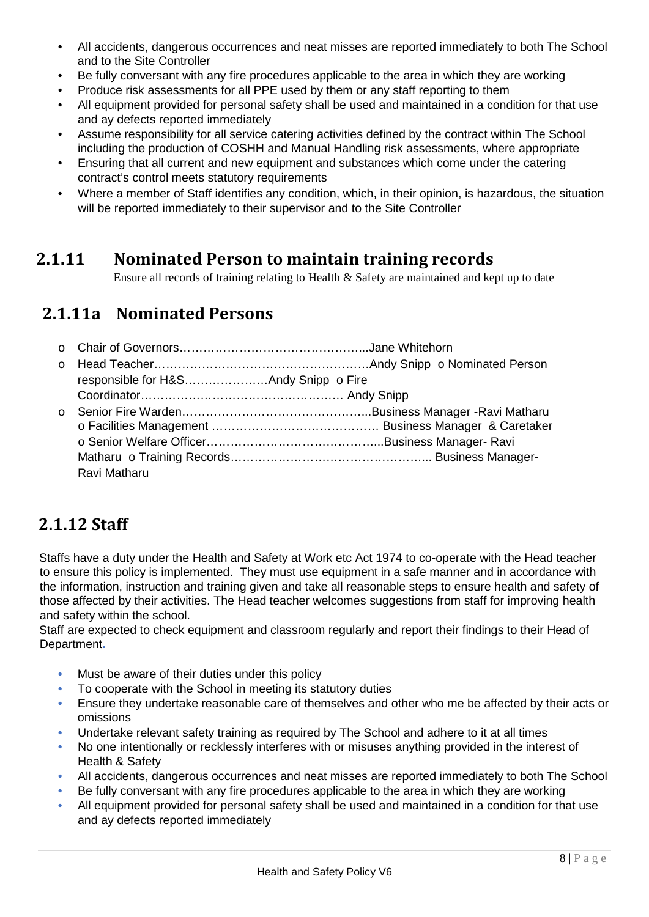- All accidents, dangerous occurrences and neat misses are reported immediately to both The School and to the Site Controller
- Be fully conversant with any fire procedures applicable to the area in which they are working
- Produce risk assessments for all PPE used by them or any staff reporting to them
- All equipment provided for personal safety shall be used and maintained in a condition for that use and ay defects reported immediately
- Assume responsibility for all service catering activities defined by the contract within The School including the production of COSHH and Manual Handling risk assessments, where appropriate
- Ensuring that all current and new equipment and substances which come under the catering contract's control meets statutory requirements
- Where a member of Staff identifies any condition, which, in their opinion, is hazardous, the situation will be reported immediately to their supervisor and to the Site Controller

#### **2.1.11 Nominated Person to maintain training records**

Ensure all records of training relating to Health & Safety are maintained and kept up to date

#### **2.1.11a Nominated Persons**

| $\Omega$ |              |  |
|----------|--------------|--|
|          |              |  |
|          |              |  |
| $\Omega$ |              |  |
|          |              |  |
|          |              |  |
|          |              |  |
|          | Ravi Matharu |  |

# **2.1.12 Staff**

Staffs have a duty under the Health and Safety at Work etc Act 1974 to co-operate with the Head teacher to ensure this policy is implemented. They must use equipment in a safe manner and in accordance with the information, instruction and training given and take all reasonable steps to ensure health and safety of those affected by their activities. The Head teacher welcomes suggestions from staff for improving health and safety within the school.

Staff are expected to check equipment and classroom regularly and report their findings to their Head of Department**.** 

- Must be aware of their duties under this policy
- To cooperate with the School in meeting its statutory duties
- Ensure they undertake reasonable care of themselves and other who me be affected by their acts or omissions
- Undertake relevant safety training as required by The School and adhere to it at all times
- No one intentionally or recklessly interferes with or misuses anything provided in the interest of Health & Safety
- All accidents, dangerous occurrences and neat misses are reported immediately to both The School
- Be fully conversant with any fire procedures applicable to the area in which they are working
- All equipment provided for personal safety shall be used and maintained in a condition for that use and ay defects reported immediately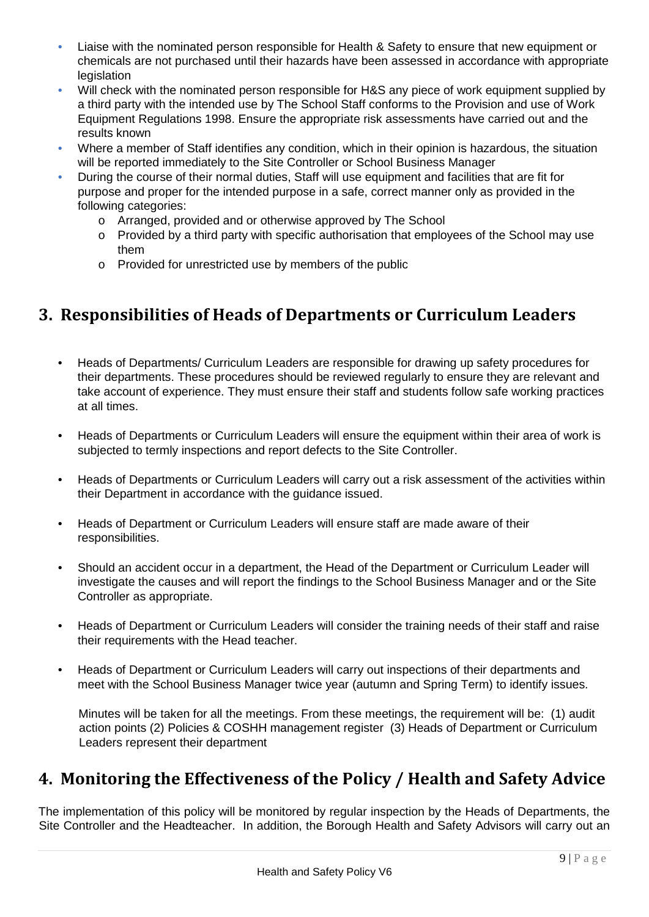- Liaise with the nominated person responsible for Health & Safety to ensure that new equipment or chemicals are not purchased until their hazards have been assessed in accordance with appropriate legislation
- Will check with the nominated person responsible for H&S any piece of work equipment supplied by a third party with the intended use by The School Staff conforms to the Provision and use of Work Equipment Regulations 1998. Ensure the appropriate risk assessments have carried out and the results known
- Where a member of Staff identifies any condition, which in their opinion is hazardous, the situation will be reported immediately to the Site Controller or School Business Manager
- During the course of their normal duties, Staff will use equipment and facilities that are fit for purpose and proper for the intended purpose in a safe, correct manner only as provided in the following categories:
	- o Arranged, provided and or otherwise approved by The School
	- o Provided by a third party with specific authorisation that employees of the School may use them
	- o Provided for unrestricted use by members of the public

# **3. Responsibilities of Heads of Departments or Curriculum Leaders**

- Heads of Departments/ Curriculum Leaders are responsible for drawing up safety procedures for their departments. These procedures should be reviewed regularly to ensure they are relevant and take account of experience. They must ensure their staff and students follow safe working practices at all times.
- Heads of Departments or Curriculum Leaders will ensure the equipment within their area of work is subjected to termly inspections and report defects to the Site Controller.
- Heads of Departments or Curriculum Leaders will carry out a risk assessment of the activities within their Department in accordance with the guidance issued.
- Heads of Department or Curriculum Leaders will ensure staff are made aware of their responsibilities.
- Should an accident occur in a department, the Head of the Department or Curriculum Leader will investigate the causes and will report the findings to the School Business Manager and or the Site Controller as appropriate.
- Heads of Department or Curriculum Leaders will consider the training needs of their staff and raise their requirements with the Head teacher.
- Heads of Department or Curriculum Leaders will carry out inspections of their departments and meet with the School Business Manager twice year (autumn and Spring Term) to identify issues.

Minutes will be taken for all the meetings. From these meetings, the requirement will be: (1) audit action points (2) Policies & COSHH management register (3) Heads of Department or Curriculum Leaders represent their department

#### **4. Monitoring the Effectiveness of the Policy / Health and Safety Advice**

The implementation of this policy will be monitored by regular inspection by the Heads of Departments, the Site Controller and the Headteacher. In addition, the Borough Health and Safety Advisors will carry out an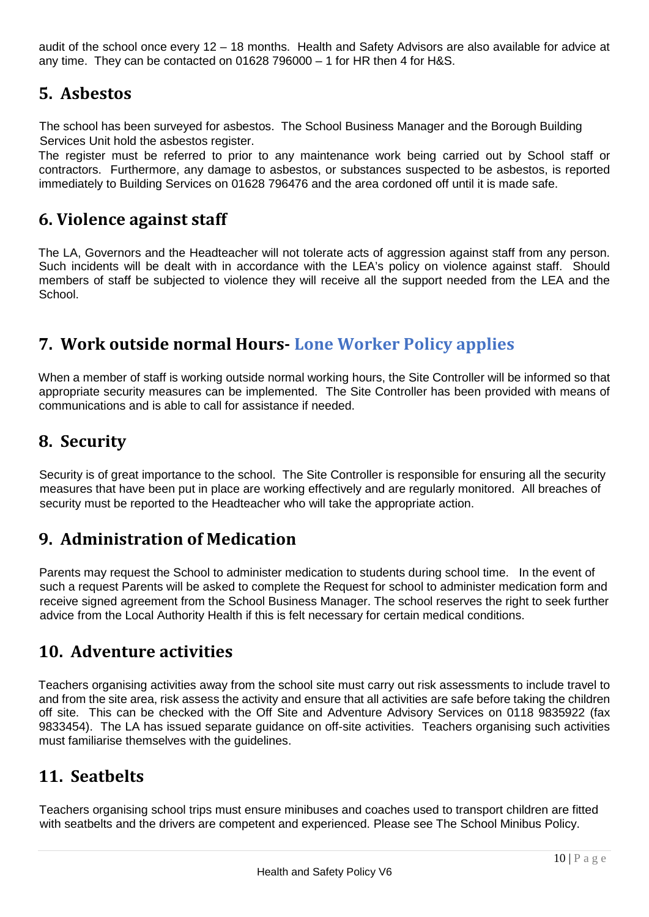audit of the school once every 12 – 18 months. Health and Safety Advisors are also available for advice at any time. They can be contacted on  $01628796000 - 1$  for HR then 4 for H&S.

#### **5. Asbestos**

The school has been surveyed for asbestos. The School Business Manager and the Borough Building Services Unit hold the asbestos register.

The register must be referred to prior to any maintenance work being carried out by School staff or contractors. Furthermore, any damage to asbestos, or substances suspected to be asbestos, is reported immediately to Building Services on 01628 796476 and the area cordoned off until it is made safe.

#### **6. Violence against staff**

The LA, Governors and the Headteacher will not tolerate acts of aggression against staff from any person. Such incidents will be dealt with in accordance with the LEA's policy on violence against staff. Should members of staff be subjected to violence they will receive all the support needed from the LEA and the School.

### **7. Work outside normal Hours- Lone Worker Policy applies**

When a member of staff is working outside normal working hours, the Site Controller will be informed so that appropriate security measures can be implemented. The Site Controller has been provided with means of communications and is able to call for assistance if needed.

#### **8. Security**

Security is of great importance to the school. The Site Controller is responsible for ensuring all the security measures that have been put in place are working effectively and are regularly monitored. All breaches of security must be reported to the Headteacher who will take the appropriate action.

# **9. Administration of Medication**

Parents may request the School to administer medication to students during school time. In the event of such a request Parents will be asked to complete the Request for school to administer medication form and receive signed agreement from the School Business Manager. The school reserves the right to seek further advice from the Local Authority Health if this is felt necessary for certain medical conditions.

#### **10. Adventure activities**

Teachers organising activities away from the school site must carry out risk assessments to include travel to and from the site area, risk assess the activity and ensure that all activities are safe before taking the children off site. This can be checked with the Off Site and Adventure Advisory Services on 0118 9835922 (fax 9833454). The LA has issued separate guidance on off-site activities. Teachers organising such activities must familiarise themselves with the guidelines.

#### **11. Seatbelts**

Teachers organising school trips must ensure minibuses and coaches used to transport children are fitted with seatbelts and the drivers are competent and experienced. Please see The School Minibus Policy.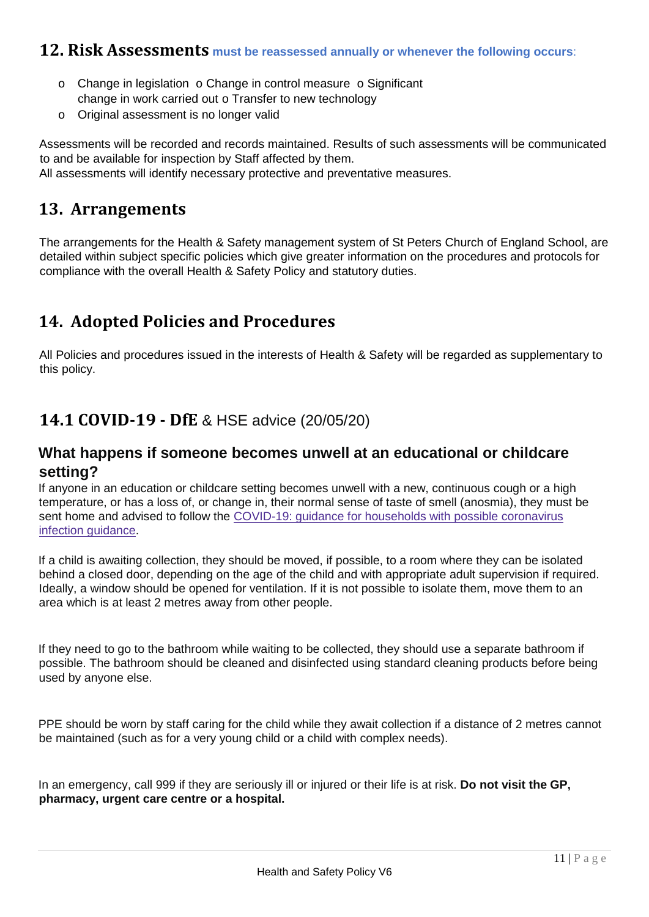#### **12. Risk Assessments must be reassessed annually or whenever the following occurs**:

- $\circ$  Change in legislation  $\circ$  Change in control measure  $\circ$  Significant change in work carried out o Transfer to new technology
- o Original assessment is no longer valid

Assessments will be recorded and records maintained. Results of such assessments will be communicated to and be available for inspection by Staff affected by them. All assessments will identify necessary protective and preventative measures.

#### **13. Arrangements**

The arrangements for the Health & Safety management system of St Peters Church of England School, are detailed within subject specific policies which give greater information on the procedures and protocols for compliance with the overall Health & Safety Policy and statutory duties.

### **14. Adopted Policies and Procedures**

All Policies and procedures issued in the interests of Health & Safety will be regarded as supplementary to this policy.

#### **14.1 COVID-19 - DfE** & HSE advice (20/05/20)

#### **What happens if someone becomes unwell at an educational or childcare setting?**

If anyone in an education or childcare setting becomes unwell with a new, continuous cough or a high temperature, or has a loss of, or change in, their normal sense of taste of smell (anosmia), they must be sent home and advised to follow the [COVID-19:](https://www.gov.uk/government/publications/covid-19-stay-at-home-guidance) [guidance](https://www.gov.uk/government/publications/covid-19-stay-at-home-guidance) [for](https://www.gov.uk/government/publications/covid-19-stay-at-home-guidance) [households](https://www.gov.uk/government/publications/covid-19-stay-at-home-guidance) [with](https://www.gov.uk/government/publications/covid-19-stay-at-home-guidance) [possible](https://www.gov.uk/government/publications/covid-19-stay-at-home-guidance) [coronavirus](https://www.gov.uk/government/publications/covid-19-stay-at-home-guidance) [infection](https://www.gov.uk/government/publications/covid-19-stay-at-home-guidance) [guidance.](https://www.gov.uk/government/publications/covid-19-stay-at-home-guidance)

If a child is awaiting collection, they should be moved, if possible, to a room where they can be isolated behind a closed door, depending on the age of the child and with appropriate adult supervision if required. Ideally, a window should be opened for ventilation. If it is not possible to isolate them, move them to an area which is at least 2 metres away from other people.

If they need to go to the bathroom while waiting to be collected, they should use a separate bathroom if possible. The bathroom should be cleaned and disinfected using standard cleaning products before being used by anyone else.

PPE should be worn by staff caring for the child while they await collection if a distance of 2 metres cannot be maintained (such as for a very young child or a child with complex needs).

In an emergency, call 999 if they are seriously ill or injured or their life is at risk. **Do not visit the GP, pharmacy, urgent care centre or a hospital.**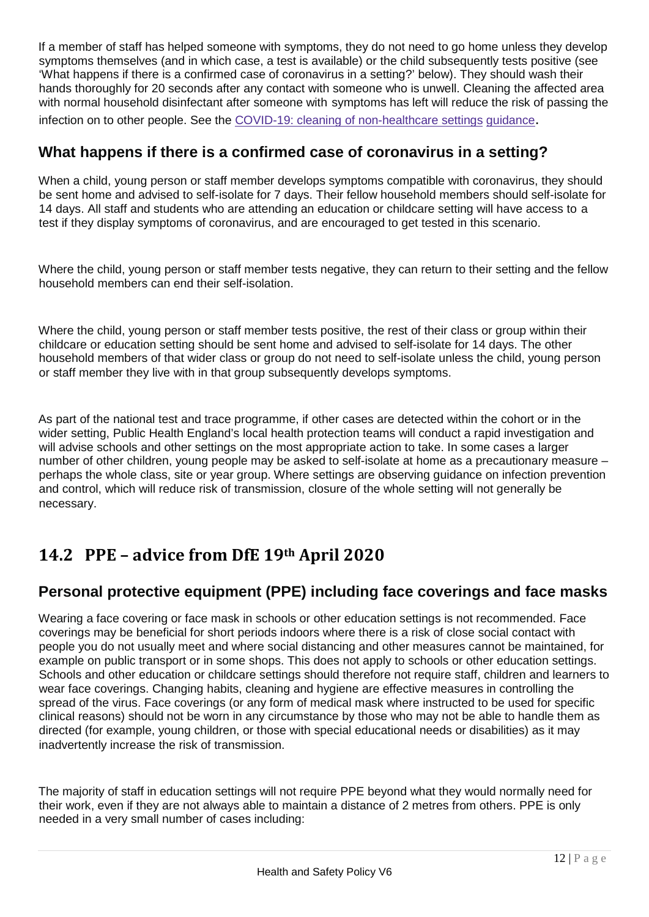If a member of staff has helped someone with symptoms, they do not need to go home unless they develop symptoms themselves (and in which case, a test is available) or the child subsequently tests positive (see 'What happens if there is a confirmed case of coronavirus in a setting?' below). They should wash their hands thoroughly for 20 seconds after any contact with someone who is unwell. Cleaning the affected area with normal household disinfectant after someone with symptoms has left will reduce the risk of passing the infection on to other people. See th[e](https://www.gov.uk/government/publications/covid-19-decontamination-in-non-healthcare-settings) [COVID-19:](https://www.gov.uk/government/publications/covid-19-decontamination-in-non-healthcare-settings) [cleaning](https://www.gov.uk/government/publications/covid-19-decontamination-in-non-healthcare-settings) [of](https://www.gov.uk/government/publications/covid-19-decontamination-in-non-healthcare-settings) [non-healthcare](https://www.gov.uk/government/publications/covid-19-decontamination-in-non-healthcare-settings) [settings](https://www.gov.uk/government/publications/covid-19-decontamination-in-non-healthcare-settings) [guidance.](https://www.gov.uk/government/publications/covid-19-decontamination-in-non-healthcare-settings)

#### **What happens if there is a confirmed case of coronavirus in a setting?**

When a child, young person or staff member develops symptoms compatible with coronavirus, they should be sent home and advised to self-isolate for 7 days. Their fellow household members should self-isolate for 14 days. All staff and students who are attending an education or childcare setting will have access to a test if they display symptoms of coronavirus, and are encouraged to get tested in this scenario.

Where the child, young person or staff member tests negative, they can return to their setting and the fellow household members can end their self-isolation.

Where the child, young person or staff member tests positive, the rest of their class or group within their childcare or education setting should be sent home and advised to self-isolate for 14 days. The other household members of that wider class or group do not need to self-isolate unless the child, young person or staff member they live with in that group subsequently develops symptoms.

As part of the national test and trace programme, if other cases are detected within the cohort or in the wider setting, Public Health England's local health protection teams will conduct a rapid investigation and will advise schools and other settings on the most appropriate action to take. In some cases a larger number of other children, young people may be asked to self-isolate at home as a precautionary measure – perhaps the whole class, site or year group. Where settings are observing guidance on infection prevention and control, which will reduce risk of transmission, closure of the whole setting will not generally be necessary.

# **14.2 PPE – advice from DfE 19th April 2020**

#### **Personal protective equipment (PPE) including face coverings and face masks**

Wearing a face covering or face mask in schools or other education settings is not recommended. Face coverings may be beneficial for short periods indoors where there is a risk of close social contact with people you do not usually meet and where social distancing and other measures cannot be maintained, for example on public transport or in some shops. This does not apply to schools or other education settings. Schools and other education or childcare settings should therefore not require staff, children and learners to wear face coverings. Changing habits, cleaning and hygiene are effective measures in controlling the spread of the virus. Face coverings (or any form of medical mask where instructed to be used for specific clinical reasons) should not be worn in any circumstance by those who may not be able to handle them as directed (for example, young children, or those with special educational needs or disabilities) as it may inadvertently increase the risk of transmission.

The majority of staff in education settings will not require PPE beyond what they would normally need for their work, even if they are not always able to maintain a distance of 2 metres from others. PPE is only needed in a very small number of cases including: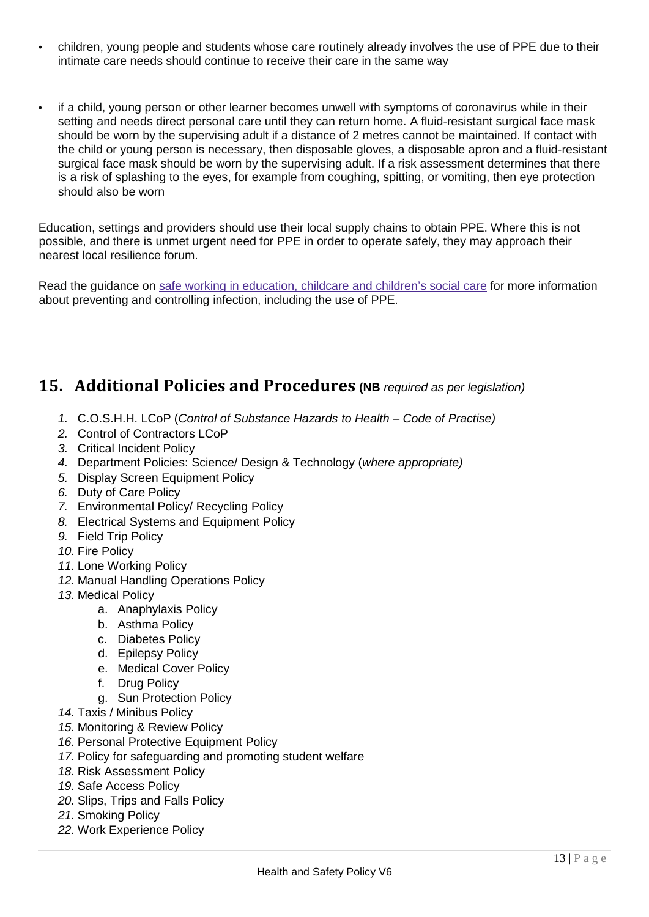- children, young people and students whose care routinely already involves the use of PPE due to their intimate care needs should continue to receive their care in the same way
- if a child, young person or other learner becomes unwell with symptoms of coronavirus while in their setting and needs direct personal care until they can return home. A fluid-resistant surgical face mask should be worn by the supervising adult if a distance of 2 metres cannot be maintained. If contact with the child or young person is necessary, then disposable gloves, a disposable apron and a fluid-resistant surgical face mask should be worn by the supervising adult. If a risk assessment determines that there is a risk of splashing to the eyes, for example from coughing, spitting, or vomiting, then eye protection should also be worn

Education, settings and providers should use their local supply chains to obtain PPE. Where this is not possible, and there is unmet urgent need for PPE in order to operate safely, they may approach their nearest local resilience forum.

Read the guidance o[n](https://www.gov.uk/government/publications/safe-working-in-education-childcare-and-childrens-social-care) [safe](https://www.gov.uk/government/publications/safe-working-in-education-childcare-and-childrens-social-care) [working](https://www.gov.uk/government/publications/safe-working-in-education-childcare-and-childrens-social-care) [in](https://www.gov.uk/government/publications/safe-working-in-education-childcare-and-childrens-social-care) [education,](https://www.gov.uk/government/publications/safe-working-in-education-childcare-and-childrens-social-care) [childcare](https://www.gov.uk/government/publications/safe-working-in-education-childcare-and-childrens-social-care) [and](https://www.gov.uk/government/publications/safe-working-in-education-childcare-and-childrens-social-care) [children's](https://www.gov.uk/government/publications/safe-working-in-education-childcare-and-childrens-social-care) [social](https://www.gov.uk/government/publications/safe-working-in-education-childcare-and-childrens-social-care) [care](https://www.gov.uk/government/publications/safe-working-in-education-childcare-and-childrens-social-care) [f](https://www.gov.uk/government/publications/safe-working-in-education-childcare-and-childrens-social-care)or more information about preventing and controlling infection, including the use of PPE.

### **15. Additional Policies and Procedures (NB** *required as per legislation)*

- *1.* C.O.S.H.H. LCoP (*Control of Substance Hazards to Health – Code of Practise)*
- *2.* Control of Contractors LCoP
- *3.* Critical Incident Policy
- *4.* Department Policies: Science/ Design & Technology (*where appropriate)*
- *5.* Display Screen Equipment Policy
- *6.* Duty of Care Policy
- *7.* Environmental Policy/ Recycling Policy
- *8.* Electrical Systems and Equipment Policy
- *9.* Field Trip Policy
- *10.* Fire Policy
- *11.* Lone Working Policy
- *12.* Manual Handling Operations Policy
- *13.* Medical Policy
	- a. Anaphylaxis Policy
	- b. Asthma Policy
	- c. Diabetes Policy
	- d. Epilepsy Policy
	- e. Medical Cover Policy
	- f. Drug Policy
		- g. Sun Protection Policy
- *14.* Taxis / Minibus Policy
- *15.* Monitoring & Review Policy
- *16.* Personal Protective Equipment Policy
- *17.* Policy for safeguarding and promoting student welfare
- *18.* Risk Assessment Policy
- *19.* Safe Access Policy
- *20.* Slips, Trips and Falls Policy
- *21.* Smoking Policy
- *22.* Work Experience Policy